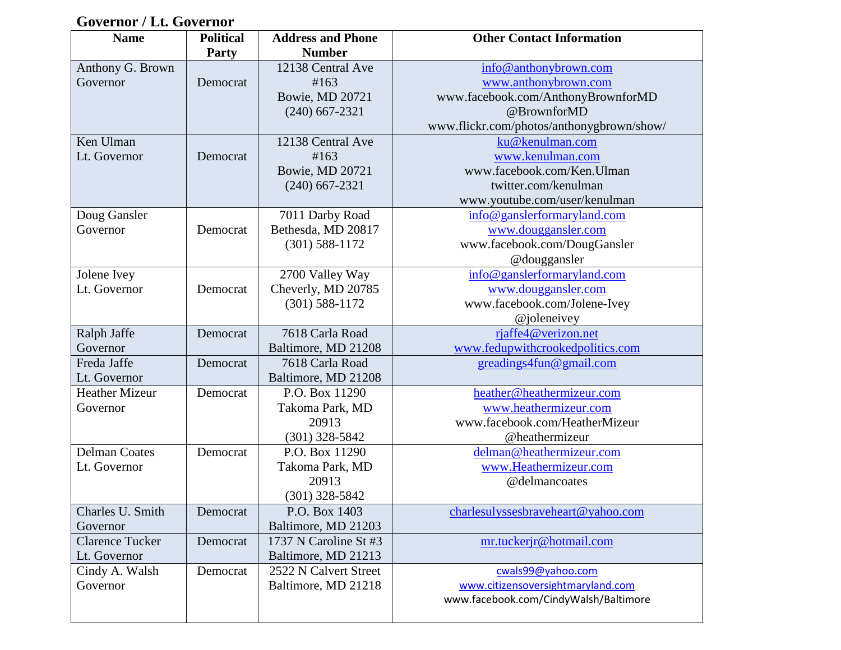# **Governor / Lt. Governor**

| <b>Name</b>            | <b>Political</b> | <b>Address and Phone</b> | <b>Other Contact Information</b>          |
|------------------------|------------------|--------------------------|-------------------------------------------|
|                        | <b>Party</b>     | <b>Number</b>            |                                           |
| Anthony G. Brown       |                  | 12138 Central Ave        | info@anthonybrown.com                     |
| Governor               | Democrat         | #163                     | www.anthonybrown.com                      |
|                        |                  | Bowie, MD 20721          | www.facebook.com/AnthonyBrownforMD        |
|                        |                  | $(240)$ 667-2321         | @BrownforMD                               |
|                        |                  |                          | www.flickr.com/photos/anthonygbrown/show/ |
| Ken Ulman              |                  | 12138 Central Ave        | ku@kenulman.com                           |
| Lt. Governor           | Democrat         | #163                     | www.kenulman.com                          |
|                        |                  | Bowie, MD 20721          | www.facebook.com/Ken.Ulman                |
|                        |                  | $(240)$ 667-2321         | twitter.com/kenulman                      |
|                        |                  |                          | www.youtube.com/user/kenulman             |
| Doug Gansler           |                  | 7011 Darby Road          | info@ganslerformaryland.com               |
| Governor               | Democrat         | Bethesda, MD 20817       | www.douggansler.com                       |
|                        |                  | $(301)$ 588-1172         | www.facebook.com/DougGansler              |
|                        |                  |                          | @douggansler                              |
| Jolene Ivey            |                  | 2700 Valley Way          | info@ganslerformaryland.com               |
| Lt. Governor           | Democrat         | Cheverly, MD 20785       | www.douggansler.com                       |
|                        |                  | $(301) 588 - 1172$       | www.facebook.com/Jolene-Ivey              |
|                        |                  |                          | @joleneivey                               |
| Ralph Jaffe            | Democrat         | 7618 Carla Road          | rjaffe4@verizon.net                       |
| Governor               |                  | Baltimore, MD 21208      | www.fedupwithcrookedpolitics.com          |
| Freda Jaffe            | Democrat         | 7618 Carla Road          | greadings4fun@gmail.com                   |
| Lt. Governor           |                  | Baltimore, MD 21208      |                                           |
| <b>Heather Mizeur</b>  | Democrat         | P.O. Box 11290           | heather@heathermizeur.com                 |
| Governor               |                  | Takoma Park, MD          | www.heathermizeur.com                     |
|                        |                  | 20913                    | www.facebook.com/HeatherMizeur            |
|                        |                  | $(301)$ 328-5842         | @heathermizeur                            |
| <b>Delman Coates</b>   | Democrat         | P.O. Box 11290           | delman@heathermizeur.com                  |
| Lt. Governor           |                  | Takoma Park, MD          | www.Heathermizeur.com                     |
|                        |                  | 20913                    | @delmancoates                             |
|                        |                  | $(301)$ 328-5842         |                                           |
| Charles U. Smith       | Democrat         | P.O. Box 1403            | charlesulyssesbraveheart@yahoo.com        |
| Governor               |                  | Baltimore, MD 21203      |                                           |
| <b>Clarence Tucker</b> | Democrat         | 1737 N Caroline St #3    | mr.tuckerjr@hotmail.com                   |
| Lt. Governor           |                  | Baltimore, MD 21213      |                                           |
| Cindy A. Walsh         | Democrat         | 2522 N Calvert Street    | cwals99@yahoo.com                         |
| Governor               |                  | Baltimore, MD 21218      | www.citizensoversightmaryland.com         |
|                        |                  |                          | www.facebook.com/CindyWalsh/Baltimore     |
|                        |                  |                          |                                           |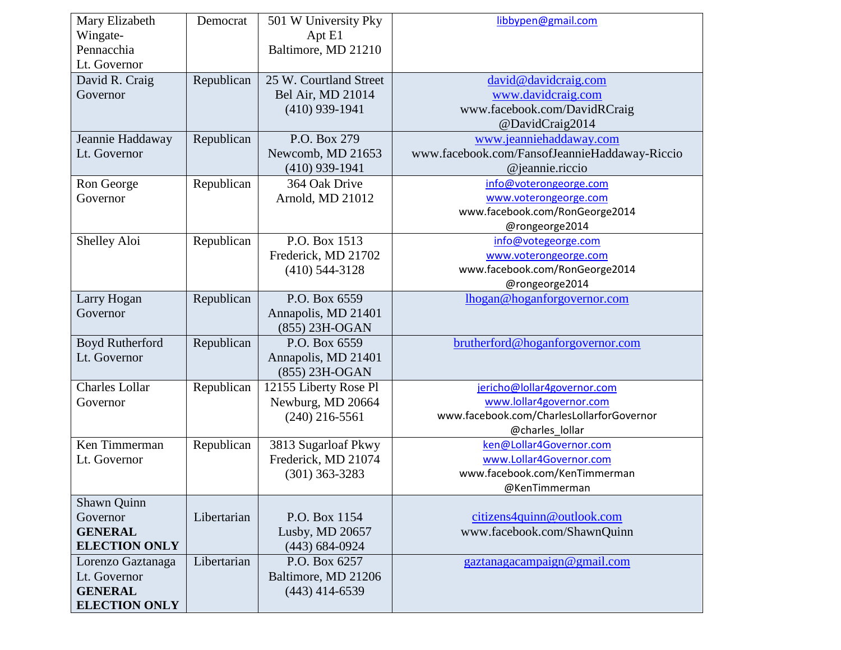| Mary Elizabeth         | Democrat    | 501 W University Pky   | libbypen@gmail.com                            |
|------------------------|-------------|------------------------|-----------------------------------------------|
| Wingate-<br>Pennacchia |             | Apt E1                 |                                               |
|                        |             | Baltimore, MD 21210    |                                               |
| Lt. Governor           |             |                        |                                               |
| David R. Craig         | Republican  | 25 W. Courtland Street | david@davidcraig.com                          |
| Governor               |             | Bel Air, MD 21014      | www.davidcraig.com                            |
|                        |             | $(410)$ 939-1941       | www.facebook.com/DavidRCraig                  |
|                        |             |                        | @DavidCraig2014                               |
| Jeannie Haddaway       | Republican  | P.O. Box 279           | www.jeanniehaddaway.com                       |
| Lt. Governor           |             | Newcomb, MD 21653      | www.facebook.com/FansofJeannieHaddaway-Riccio |
|                        |             | $(410)$ 939-1941       | @jeannie.riccio                               |
| Ron George             | Republican  | 364 Oak Drive          | info@voterongeorge.com                        |
| Governor               |             | Arnold, MD 21012       | www.voterongeorge.com                         |
|                        |             |                        | www.facebook.com/RonGeorge2014                |
|                        |             |                        | @rongeorge2014                                |
| Shelley Aloi           | Republican  | P.O. Box 1513          | info@votegeorge.com                           |
|                        |             | Frederick, MD 21702    | www.voterongeorge.com                         |
|                        |             | $(410)$ 544-3128       | www.facebook.com/RonGeorge2014                |
|                        |             |                        | @rongeorge2014                                |
| Larry Hogan            | Republican  | P.O. Box 6559          | lhogan@hoganforgovernor.com                   |
| Governor               |             | Annapolis, MD 21401    |                                               |
|                        |             | (855) 23H-OGAN         |                                               |
| Boyd Rutherford        | Republican  | P.O. Box 6559          | brutherford@hoganforgovernor.com              |
| Lt. Governor           |             | Annapolis, MD 21401    |                                               |
|                        |             | (855) 23H-OGAN         |                                               |
| <b>Charles Lollar</b>  | Republican  | 12155 Liberty Rose Pl  | jericho@lollar4governor.com                   |
| Governor               |             | Newburg, MD 20664      | www.lollar4governor.com                       |
|                        |             | $(240)$ 216-5561       | www.facebook.com/CharlesLollarforGovernor     |
|                        |             |                        | @charles_lollar                               |
| Ken Timmerman          | Republican  | 3813 Sugarloaf Pkwy    | ken@Lollar4Governor.com                       |
| Lt. Governor           |             | Frederick, MD 21074    | www.Lollar4Governor.com                       |
|                        |             | $(301)$ 363-3283       | www.facebook.com/KenTimmerman                 |
|                        |             |                        | @KenTimmerman                                 |
| Shawn Quinn            |             |                        |                                               |
| Governor               | Libertarian | P.O. Box 1154          | citizens4quinn@outlook.com                    |
| <b>GENERAL</b>         |             | Lusby, MD 20657        | www.facebook.com/ShawnQuinn                   |
| <b>ELECTION ONLY</b>   |             | $(443) 684 - 0924$     |                                               |
| Lorenzo Gaztanaga      | Libertarian | P.O. Box 6257          | gaztanagacampaign@gmail.com                   |
| Lt. Governor           |             | Baltimore, MD 21206    |                                               |
| <b>GENERAL</b>         |             | $(443)$ 414-6539       |                                               |
| <b>ELECTION ONLY</b>   |             |                        |                                               |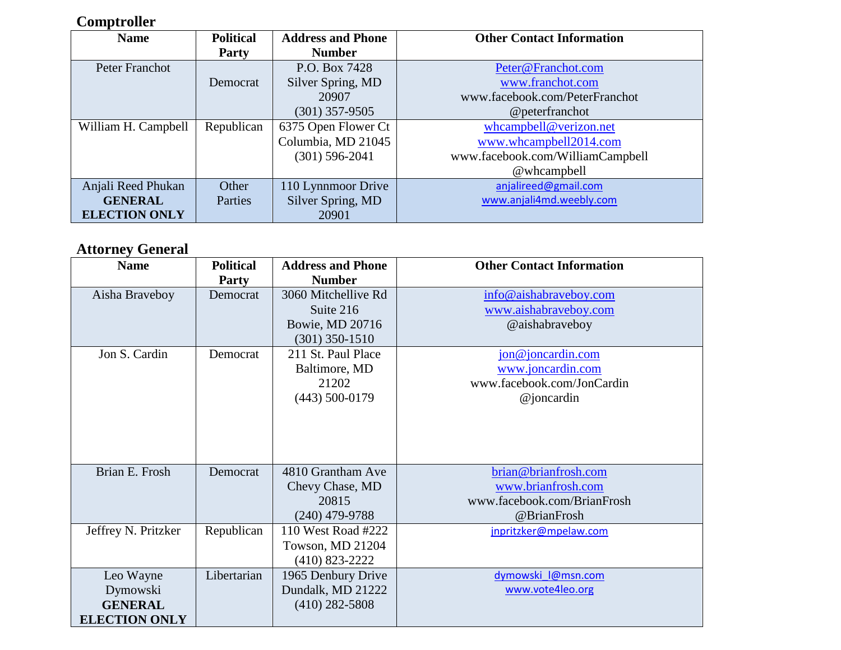### **Comptroller**

| <b>Name</b>          | <b>Political</b> | <b>Address and Phone</b> | <b>Other Contact Information</b> |
|----------------------|------------------|--------------------------|----------------------------------|
|                      | <b>Party</b>     | <b>Number</b>            |                                  |
| Peter Franchot       |                  | P.O. Box 7428            | Peter@Franchot.com               |
|                      | Democrat         | Silver Spring, MD        | www.franchot.com                 |
|                      |                  | 20907                    | www.facebook.com/PeterFranchot   |
|                      |                  | $(301)$ 357-9505         | @peterfranchot                   |
| William H. Campbell  | Republican       | 6375 Open Flower Ct      | whcampbell@verizon.net           |
|                      |                  | Columbia, MD 21045       | www.whcampbell2014.com           |
|                      |                  | $(301)$ 596-2041         | www.facebook.com/WilliamCampbell |
|                      |                  |                          | @whcampbell                      |
| Anjali Reed Phukan   | Other            | 110 Lynnmoor Drive       | anjalireed@gmail.com             |
| <b>GENERAL</b>       | Parties          | Silver Spring, MD        | www.anjali4md.weebly.com         |
| <b>ELECTION ONLY</b> |                  | 20901                    |                                  |

### **Attorney General**

| <b>Name</b>          | <b>Political</b> | <b>Address and Phone</b> | <b>Other Contact Information</b> |
|----------------------|------------------|--------------------------|----------------------------------|
|                      | <b>Party</b>     | <b>Number</b>            |                                  |
| Aisha Braveboy       | Democrat         | 3060 Mitchellive Rd      | info@aishabraveboy.com           |
|                      |                  | Suite 216                | www.aishabraveboy.com            |
|                      |                  | Bowie, MD 20716          | @aishabraveboy                   |
|                      |                  | $(301)$ 350-1510         |                                  |
| Jon S. Cardin        | Democrat         | 211 St. Paul Place       | jon@joncardin.com                |
|                      |                  | Baltimore, MD            | www.joncardin.com                |
|                      |                  | 21202                    | www.facebook.com/JonCardin       |
|                      |                  | $(443)$ 500-0179         | $@j$ oncardin                    |
|                      |                  |                          |                                  |
|                      |                  |                          |                                  |
|                      |                  |                          |                                  |
|                      |                  |                          |                                  |
| Brian E. Frosh       | Democrat         | 4810 Grantham Ave        | brian@brianfrosh.com             |
|                      |                  | Chevy Chase, MD          | www.brianfrosh.com               |
|                      |                  | 20815                    | www.facebook.com/BrianFrosh      |
|                      |                  | $(240)$ 479-9788         | @BrianFrosh                      |
| Jeffrey N. Pritzker  | Republican       | 110 West Road #222       | jnpritzker@mpelaw.com            |
|                      |                  | Towson, MD 21204         |                                  |
|                      |                  | (410) 823-2222           |                                  |
| Leo Wayne            | Libertarian      | 1965 Denbury Drive       | dymowski l@msn.com               |
| Dymowski             |                  | Dundalk, MD 21222        | www.vote4leo.org                 |
| <b>GENERAL</b>       |                  | $(410)$ 282-5808         |                                  |
| <b>ELECTION ONLY</b> |                  |                          |                                  |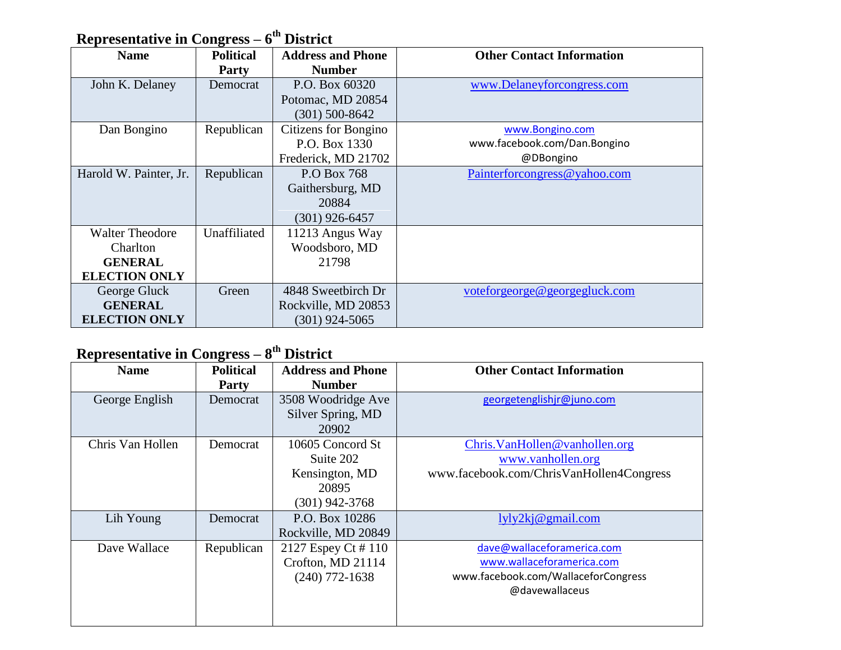### **Representative in Congress – 6 th District**

| <b>Name</b>            | <b>Political</b> | <b>Address and Phone</b> | <b>Other Contact Information</b> |
|------------------------|------------------|--------------------------|----------------------------------|
|                        | <b>Party</b>     | <b>Number</b>            |                                  |
| John K. Delaney        | Democrat         | P.O. Box 60320           | www.Delaneyforcongress.com       |
|                        |                  | Potomac, MD 20854        |                                  |
|                        |                  | $(301)$ 500-8642         |                                  |
| Dan Bongino            | Republican       | Citizens for Bongino     | www.Bongino.com                  |
|                        |                  | P.O. Box 1330            | www.facebook.com/Dan.Bongino     |
|                        |                  | Frederick, MD 21702      | @DBongino                        |
| Harold W. Painter, Jr. | Republican       | P.O Box 768              | Painterforcongress@yahoo.com     |
|                        |                  | Gaithersburg, MD         |                                  |
|                        |                  | 20884                    |                                  |
|                        |                  | $(301)$ 926-6457         |                                  |
| <b>Walter Theodore</b> | Unaffiliated     | 11213 Angus Way          |                                  |
| <b>Charlton</b>        |                  | Woodsboro, MD            |                                  |
| <b>GENERAL</b>         |                  | 21798                    |                                  |
| <b>ELECTION ONLY</b>   |                  |                          |                                  |
| George Gluck           | Green            | 4848 Sweetbirch Dr       | voteforgeorge@georgegluck.com    |
| <b>GENERAL</b>         |                  | Rockville, MD 20853      |                                  |
| <b>ELECTION ONLY</b>   |                  | (301) 924-5065           |                                  |

### **Representative in Congress – 8 th District**

| <b>Name</b>      | <b>Political</b><br><b>Party</b> | <b>Address and Phone</b><br><b>Number</b>                                    | <b>Other Contact Information</b>                                                                                 |
|------------------|----------------------------------|------------------------------------------------------------------------------|------------------------------------------------------------------------------------------------------------------|
| George English   | Democrat                         | 3508 Woodridge Ave<br>Silver Spring, MD<br>20902                             | georgetenglishjr@juno.com                                                                                        |
| Chris Van Hollen | Democrat                         | 10605 Concord St<br>Suite 202<br>Kensington, MD<br>20895<br>$(301)$ 942-3768 | Chris. VanHollen@vanhollen.org<br>www.vanhollen.org<br>www.facebook.com/ChrisVanHollen4Congress                  |
| Lih Young        | Democrat                         | P.O. Box 10286<br>Rockville, MD 20849                                        | lyly2kj@gmail.com                                                                                                |
| Dave Wallace     | Republican                       | 2127 Espey Ct #110<br>Crofton, MD 21114<br>$(240)$ 772-1638                  | dave@wallaceforamerica.com<br>www.wallaceforamerica.com<br>www.facebook.com/WallaceforCongress<br>@davewallaceus |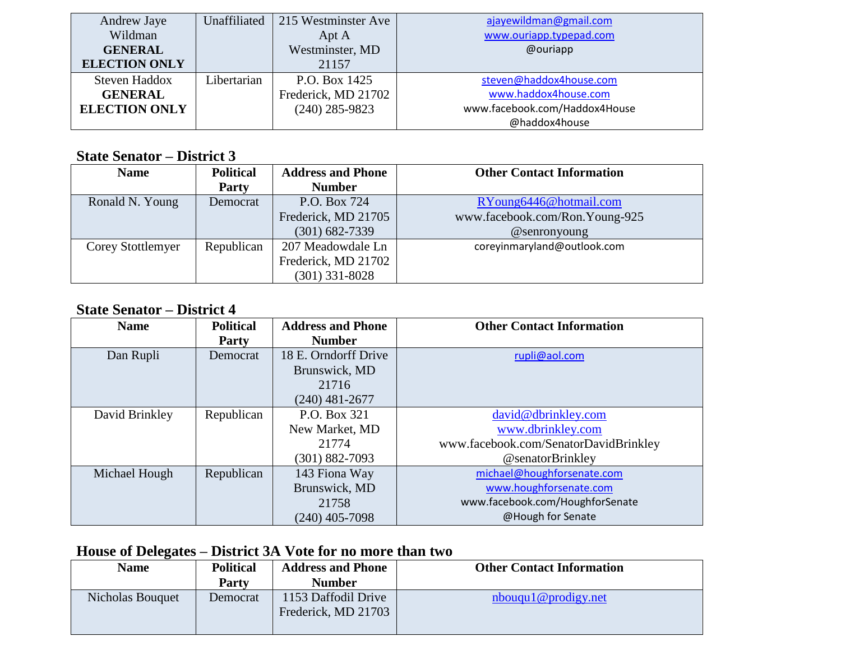| Andrew Jaye          | Unaffiliated | 215 Westminster Ave | ajayewildman@gmail.com        |
|----------------------|--------------|---------------------|-------------------------------|
| Wildman              |              | Apt A               | www.ouriapp.typepad.com       |
| <b>GENERAL</b>       |              | Westminster, MD     | @ouriapp                      |
| <b>ELECTION ONLY</b> |              | 21157               |                               |
| Steven Haddox        | Libertarian  | P.O. Box 1425       | steven@haddox4house.com       |
| <b>GENERAL</b>       |              | Frederick, MD 21702 | www.haddox4house.com          |
| <b>ELECTION ONLY</b> |              | $(240)$ 285-9823    | www.facebook.com/Haddox4House |
|                      |              |                     | @haddox4house                 |

#### **State Senator – District 3**

| <b>Name</b>       | <b>Political</b><br>Party | <b>Address and Phone</b><br><b>Number</b>                    | <b>Other Contact Information</b>                         |
|-------------------|---------------------------|--------------------------------------------------------------|----------------------------------------------------------|
| Ronald N. Young   | Democrat                  | P.O. Box 724<br>Frederick, MD 21705                          | RYoung6446@hotmail.com<br>www.facebook.com/Ron.Young-925 |
|                   |                           | $(301) 682 - 7339$                                           | $@$ senronyoung                                          |
| Corey Stottlemyer | Republican                | 207 Meadowdale Ln<br>Frederick, MD 21702<br>$(301)$ 331-8028 | coreyinmaryland@outlook.com                              |

#### **State Senator – District 4**

| <b>Name</b>    | <b>Political</b> | <b>Address and Phone</b> | <b>Other Contact Information</b>      |
|----------------|------------------|--------------------------|---------------------------------------|
|                | <b>Party</b>     | <b>Number</b>            |                                       |
| Dan Rupli      | Democrat         | 18 E. Orndorff Drive     | rupli@aol.com                         |
|                |                  | Brunswick, MD            |                                       |
|                |                  | 21716                    |                                       |
|                |                  | $(240)$ 481-2677         |                                       |
| David Brinkley | Republican       | P.O. Box 321             | david@dbrinkley.com                   |
|                |                  | New Market, MD           | www.dbrinkley.com                     |
|                |                  | 21774                    | www.facebook.com/SenatorDavidBrinkley |
|                |                  | (301) 882-7093           | @senatorBrinkley                      |
| Michael Hough  | Republican       | 143 Fiona Way            | michael@houghforsenate.com            |
|                |                  | Brunswick, MD            | www.houghforsenate.com                |
|                |                  | 21758                    | www.facebook.com/HoughforSenate       |
|                |                  | $(240)$ 405-7098         | @Hough for Senate                     |

## **House of Delegates – District 3A Vote for no more than two**

| <b>Name</b>      | <b>Political</b><br><b>Party</b> | <b>Address and Phone</b><br><b>Number</b>  | <b>Other Contact Information</b> |
|------------------|----------------------------------|--------------------------------------------|----------------------------------|
| Nicholas Bouquet | Democrat                         | 1153 Daffodil Drive<br>Frederick, MD 21703 | nbouqu1@prodigy.net              |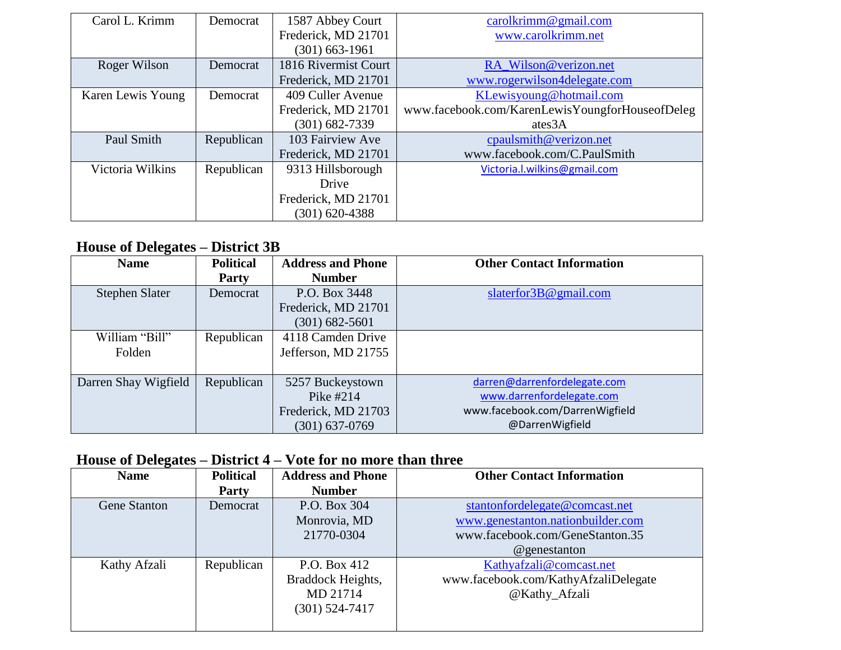| Carol L. Krimm    | Democrat   | 1587 Abbey Court     | $\frac{\text{cardkrimm@gmail.com}}{\text{cardl.com}}$ |
|-------------------|------------|----------------------|-------------------------------------------------------|
|                   |            | Frederick, MD 21701  | www.carolkrimm.net                                    |
|                   |            | (301) 663-1961       |                                                       |
| Roger Wilson      | Democrat   | 1816 Rivermist Court | RA Wilson@verizon.net                                 |
|                   |            | Frederick, MD 21701  | www.rogerwilson4delegate.com                          |
| Karen Lewis Young | Democrat   | 409 Culler Avenue    | KLewisyoung@hotmail.com                               |
|                   |            | Frederick, MD 21701  | www.facebook.com/KarenLewisYoungforHouseofDeleg       |
|                   |            | (301) 682-7339       | ates3A                                                |
| Paul Smith        | Republican | 103 Fairview Ave     | cpaulsmith@verizon.net                                |
|                   |            | Frederick, MD 21701  | www.facebook.com/C.PaulSmith                          |
| Victoria Wilkins  | Republican | 9313 Hillsborough    | Victoria.l.wilkins@gmail.com                          |
|                   |            | Drive                |                                                       |
|                   |            | Frederick, MD 21701  |                                                       |
|                   |            | (301) 620-4388       |                                                       |

### **House of Delegates – District 3B**

| <b>Name</b>          | <b>Political</b> | <b>Address and Phone</b> | <b>Other Contact Information</b> |
|----------------------|------------------|--------------------------|----------------------------------|
|                      | <b>Party</b>     | <b>Number</b>            |                                  |
| Stephen Slater       | Democrat         | P.O. Box 3448            | slaterfor $3B@$ gmail.com        |
|                      |                  | Frederick, MD 21701      |                                  |
|                      |                  | $(301) 682 - 5601$       |                                  |
| William "Bill"       | Republican       | 4118 Camden Drive        |                                  |
| Folden               |                  | Jefferson, MD 21755      |                                  |
|                      |                  |                          |                                  |
| Darren Shay Wigfield | Republican       | 5257 Buckeystown         | darren@darrenfordelegate.com     |
|                      |                  | Pike $#214$              | www.darrenfordelegate.com        |
|                      |                  | Frederick, MD 21703      | www.facebook.com/DarrenWigfield  |
|                      |                  | $(301) 637 - 0769$       | @DarrenWigfield                  |

### **House of Delegates – District 4 – Vote for no more than three**

| <b>Name</b>  | <b>Political</b><br><b>Party</b> | <b>Address and Phone</b><br><b>Number</b> | <b>Other Contact Information</b>     |
|--------------|----------------------------------|-------------------------------------------|--------------------------------------|
|              |                                  |                                           |                                      |
| Gene Stanton | Democrat                         | P.O. Box 304                              | stantonfordelegate@comcast.net       |
|              |                                  | Monrovia, MD                              | www.genestanton.nationbuilder.com    |
|              |                                  | 21770-0304                                | www.facebook.com/GeneStanton.35      |
|              |                                  |                                           | @genestanton                         |
| Kathy Afzali | Republican                       | P.O. Box 412                              | Kathyafzali@comcast.net              |
|              |                                  | Braddock Heights,                         | www.facebook.com/KathyAfzaliDelegate |
|              |                                  | MD 21714                                  | @Kathy_Afzali                        |
|              |                                  | $(301) 524 - 7417$                        |                                      |
|              |                                  |                                           |                                      |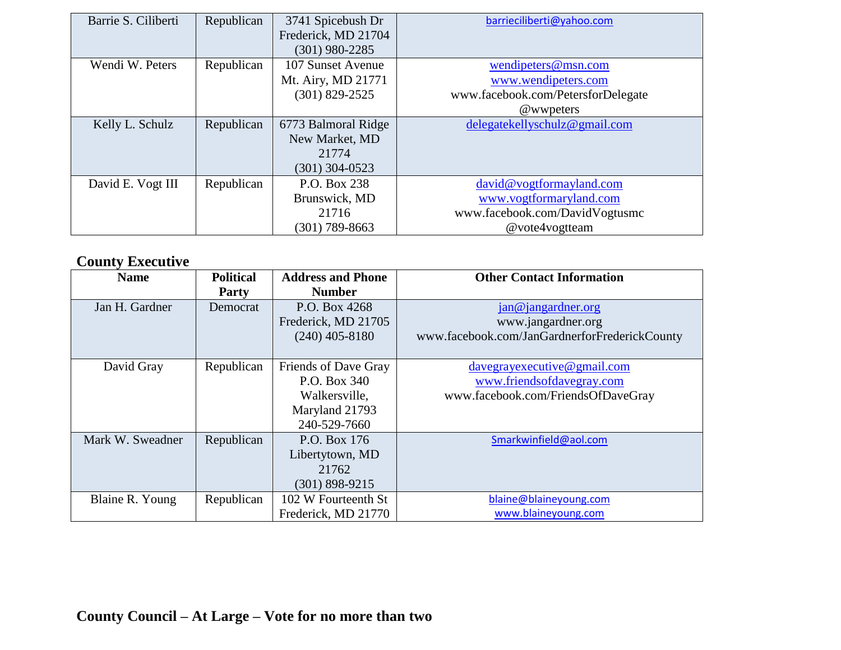| Barrie S. Ciliberti | Republican | 3741 Spicebush Dr   | barrieciliberti@yahoo.com          |
|---------------------|------------|---------------------|------------------------------------|
|                     |            | Frederick, MD 21704 |                                    |
|                     |            | $(301)$ 980-2285    |                                    |
| Wendi W. Peters     | Republican | 107 Sunset Avenue   | wendipeters@msn.com                |
|                     |            | Mt. Airy, MD 21771  | www.wendipeters.com                |
|                     |            | $(301)$ 829-2525    | www.facebook.com/PetersforDelegate |
|                     |            |                     | @wwpeters                          |
| Kelly L. Schulz     | Republican | 6773 Balmoral Ridge | delegatekellyschulz@gmail.com      |
|                     |            | New Market, MD      |                                    |
|                     |            | 21774               |                                    |
|                     |            | $(301)$ 304-0523    |                                    |
| David E. Vogt III   | Republican | P.O. Box 238        | david@vogtformayland.com           |
|                     |            | Brunswick, MD       | www.vogtformaryland.com            |
|                     |            | 21716               | www.facebook.com/DavidVogtusmc     |
|                     |            | (301) 789-8663      | @vote4vogtteam                     |

# **County Executive**

| <b>Name</b>      | <b>Political</b><br>Party | <b>Address and Phone</b><br><b>Number</b>                                               | <b>Other Contact Information</b>                                                                 |
|------------------|---------------------------|-----------------------------------------------------------------------------------------|--------------------------------------------------------------------------------------------------|
| Jan H. Gardner   | Democrat                  | P.O. Box 4268<br>Frederick, MD 21705<br>$(240)$ 405-8180                                | $jan@$ jangardner.org<br>www.jangardner.org<br>www.facebook.com/JanGardnerforFrederickCounty     |
| David Gray       | Republican                | Friends of Dave Gray<br>P.O. Box 340<br>Walkersville,<br>Maryland 21793<br>240-529-7660 | $davegrave$ grative@gmail.com<br>www.friendsofdavegray.com<br>www.facebook.com/FriendsOfDaveGray |
| Mark W. Sweadner | Republican                | P.O. Box 176<br>Libertytown, MD<br>21762<br>$(301) 898 - 9215$                          | Smarkwinfield@aol.com                                                                            |
| Blaine R. Young  | Republican                | 102 W Fourteenth St<br>Frederick, MD 21770                                              | blaine@blaineyoung.com<br>www.blaineyoung.com                                                    |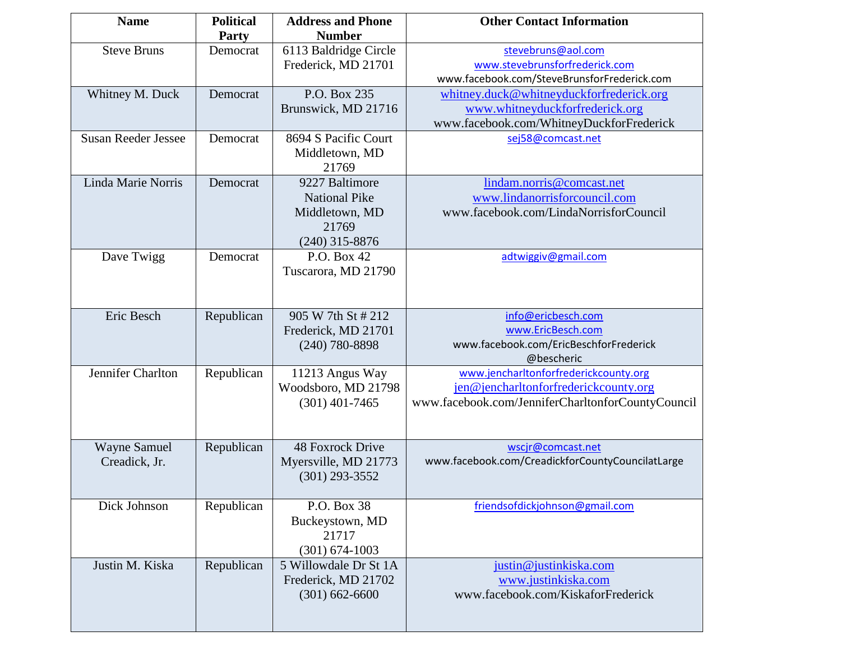| <b>Name</b>                          | <b>Political</b><br><b>Party</b> | <b>Address and Phone</b><br><b>Number</b>                                             | <b>Other Contact Information</b>                                                                                                    |
|--------------------------------------|----------------------------------|---------------------------------------------------------------------------------------|-------------------------------------------------------------------------------------------------------------------------------------|
| <b>Steve Bruns</b>                   | Democrat                         | 6113 Baldridge Circle<br>Frederick, MD 21701                                          | stevebruns@aol.com<br>www.stevebrunsforfrederick.com<br>www.facebook.com/SteveBrunsforFrederick.com                                 |
| Whitney M. Duck                      | Democrat                         | P.O. Box 235<br>Brunswick, MD 21716                                                   | whitney.duck@whitneyduckforfrederick.org<br>www.whitneyduckforfrederick.org<br>www.facebook.com/WhitneyDuckforFrederick             |
| <b>Susan Reeder Jessee</b>           | Democrat                         | 8694 S Pacific Court<br>Middletown, MD<br>21769                                       | sej58@comcast.net                                                                                                                   |
| Linda Marie Norris                   | Democrat                         | 9227 Baltimore<br><b>National Pike</b><br>Middletown, MD<br>21769<br>$(240)$ 315-8876 | lindam.norris@comcast.net<br>www.lindanorrisforcouncil.com<br>www.facebook.com/LindaNorrisforCouncil                                |
| Dave Twigg                           | Democrat                         | P.O. Box 42<br>Tuscarora, MD 21790                                                    | adtwiggiv@gmail.com                                                                                                                 |
| Eric Besch                           | Republican                       | 905 W 7th St # 212<br>Frederick, MD 21701<br>$(240)$ 780-8898                         | info@ericbesch.com<br>www.EricBesch.com<br>www.facebook.com/EricBeschforFrederick<br>@bescheric                                     |
| Jennifer Charlton                    | Republican                       | 11213 Angus Way<br>Woodsboro, MD 21798<br>$(301)$ 401-7465                            | www.jencharltonforfrederickcounty.org<br>jen@jencharltonforfrederickcounty.org<br>www.facebook.com/JenniferCharltonforCountyCouncil |
| <b>Wayne Samuel</b><br>Creadick, Jr. | Republican                       | 48 Foxrock Drive<br>Myersville, MD 21773<br>$(301)$ 293-3552                          | wscjr@comcast.net<br>www.facebook.com/CreadickforCountyCouncilatLarge                                                               |
| Dick Johnson                         | Republican                       | P.O. Box 38<br>Buckeystown, MD<br>21717<br>$(301) 674 - 1003$                         | friendsofdickjohnson@gmail.com                                                                                                      |
| Justin M. Kiska                      | Republican                       | 5 Willowdale Dr St 1A<br>Frederick, MD 21702<br>$(301)$ 662-6600                      | justin@justinkiska.com<br>www.justinkiska.com<br>www.facebook.com/KiskaforFrederick                                                 |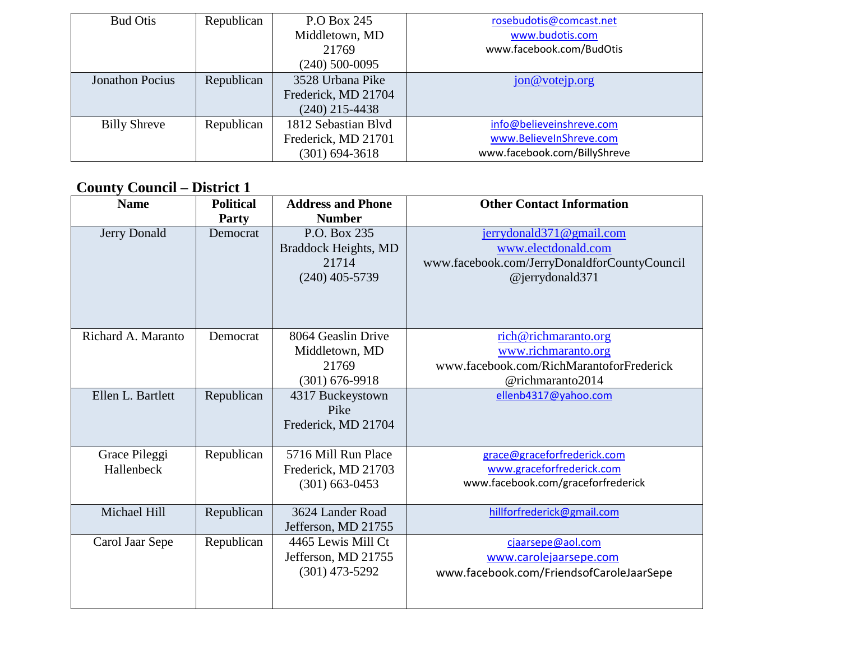| <b>Bud Otis</b>        | Republican | P.O Box 245         | rosebudotis@comcast.net      |
|------------------------|------------|---------------------|------------------------------|
|                        |            | Middletown, MD      | www.budotis.com              |
|                        |            | 21769               | www.facebook.com/BudOtis     |
|                        |            | $(240)$ 500-0095    |                              |
| <b>Jonathon Pocius</b> | Republican | 3528 Urbana Pike    | jon@votejp.org               |
|                        |            | Frederick, MD 21704 |                              |
|                        |            | $(240)$ 215-4438    |                              |
| <b>Billy Shreve</b>    | Republican | 1812 Sebastian Blvd | info@believeinshreve.com     |
|                        |            | Frederick, MD 21701 | www.BelieveInShreve.com      |
|                        |            | $(301) 694 - 3618$  | www.facebook.com/BillyShreve |

# **County Council – District 1**

| <b>Name</b>                 | <b>Political</b><br><b>Party</b> | <b>Address and Phone</b><br><b>Number</b>                           | <b>Other Contact Information</b>                                                                                   |
|-----------------------------|----------------------------------|---------------------------------------------------------------------|--------------------------------------------------------------------------------------------------------------------|
| Jerry Donald                | Democrat                         | P.O. Box 235<br>Braddock Heights, MD<br>21714<br>$(240)$ 405-5739   | jerrydonald371@gmail.com<br>www.electdonald.com<br>www.facebook.com/JerryDonaldforCountyCouncil<br>@jerrydonald371 |
| Richard A. Maranto          | Democrat                         | 8064 Geaslin Drive<br>Middletown, MD<br>21769<br>$(301) 676 - 9918$ | rich@richmaranto.org<br>www.richmaranto.org<br>www.facebook.com/RichMarantoforFrederick<br>@richmaranto2014        |
| Ellen L. Bartlett           | Republican                       | 4317 Buckeystown<br>Pike<br>Frederick, MD 21704                     | ellenb4317@yahoo.com                                                                                               |
| Grace Pileggi<br>Hallenbeck | Republican                       | 5716 Mill Run Place<br>Frederick, MD 21703<br>$(301)$ 663-0453      | grace@graceforfrederick.com<br>www.graceforfrederick.com<br>www.facebook.com/graceforfrederick                     |
| Michael Hill                | Republican                       | 3624 Lander Road<br>Jefferson, MD 21755                             | hillforfrederick@gmail.com                                                                                         |
| Carol Jaar Sepe             | Republican                       | 4465 Lewis Mill Ct<br>Jefferson, MD 21755<br>$(301)$ 473-5292       | cjaarsepe@aol.com<br>www.carolejaarsepe.com<br>www.facebook.com/FriendsofCaroleJaarSepe                            |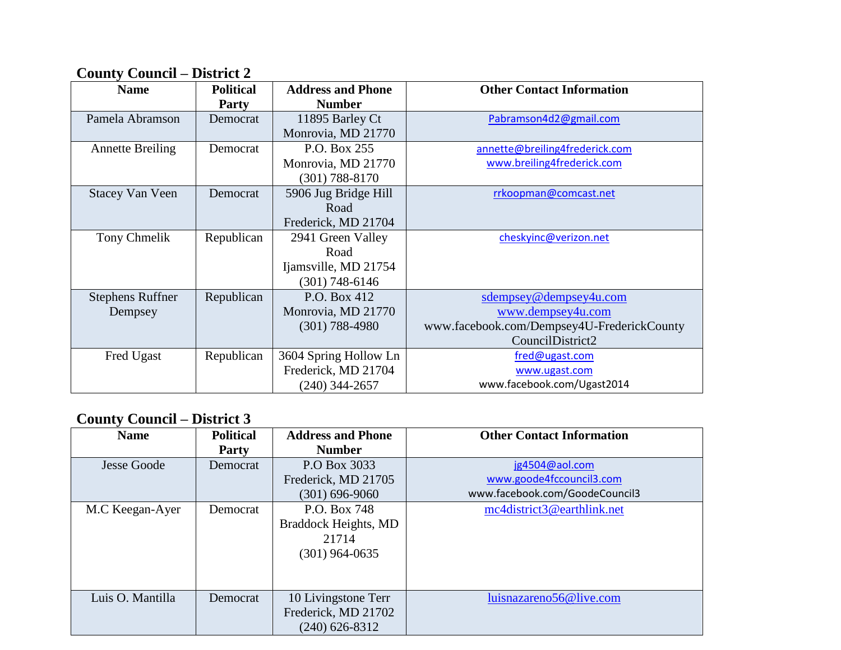### **County Council – District 2**

| <b>Name</b>                        | <b>Political</b><br><b>Party</b> | <b>Address and Phone</b><br><b>Number</b>                             | <b>Other Contact Information</b>                                                                              |
|------------------------------------|----------------------------------|-----------------------------------------------------------------------|---------------------------------------------------------------------------------------------------------------|
| Pamela Abramson                    | Democrat                         | 11895 Barley Ct<br>Monrovia, MD 21770                                 | Pabramson4d2@gmail.com                                                                                        |
| <b>Annette Breiling</b>            | Democrat                         | P.O. Box 255<br>Monrovia, MD 21770<br>$(301) 788 - 8170$              | annette@breiling4frederick.com<br>www.breiling4frederick.com                                                  |
| <b>Stacey Van Veen</b>             | Democrat                         | 5906 Jug Bridge Hill<br>Road<br>Frederick, MD 21704                   | rrkoopman@comcast.net                                                                                         |
| Tony Chmelik                       | Republican                       | 2941 Green Valley<br>Road<br>Ijamsville, MD 21754<br>$(301)$ 748-6146 | cheskyinc@verizon.net                                                                                         |
| <b>Stephens Ruffner</b><br>Dempsey | Republican                       | P.O. Box 412<br>Monrovia, MD 21770<br>$(301) 788 - 4980$              | sdempsey@dempsey4u.com<br>www.dempsey4u.com<br>www.facebook.com/Dempsey4U-FrederickCounty<br>CouncilDistrict2 |
| Fred Ugast                         | Republican                       | 3604 Spring Hollow Ln<br>Frederick, MD 21704<br>$(240)$ 344-2657      | fred@ugast.com<br>www.ugast.com<br>www.facebook.com/Ugast2014                                                 |

#### **County Council – District 3**

| <b>Name</b>        | <b>Political</b> | <b>Address and Phone</b>                                          | <b>Other Contact Information</b> |  |
|--------------------|------------------|-------------------------------------------------------------------|----------------------------------|--|
|                    | <b>Party</b>     | <b>Number</b>                                                     |                                  |  |
| <b>Jesse Goode</b> | Democrat         | P.O Box 3033                                                      | jg4504@aol.com                   |  |
|                    |                  | Frederick, MD 21705                                               | www.goode4fccouncil3.com         |  |
|                    |                  | $(301) 696 - 9060$                                                | www.facebook.com/GoodeCouncil3   |  |
| M.C Keegan-Ayer    | Democrat         | P.O. Box 748<br>Braddock Heights, MD<br>21714<br>$(301)$ 964-0635 | mc4district3@earthlink.net       |  |
| Luis O. Mantilla   | Democrat         | 10 Livingstone Terr<br>Frederick, MD 21702<br>$(240)$ 626-8312    | luisnazareno56@live.com          |  |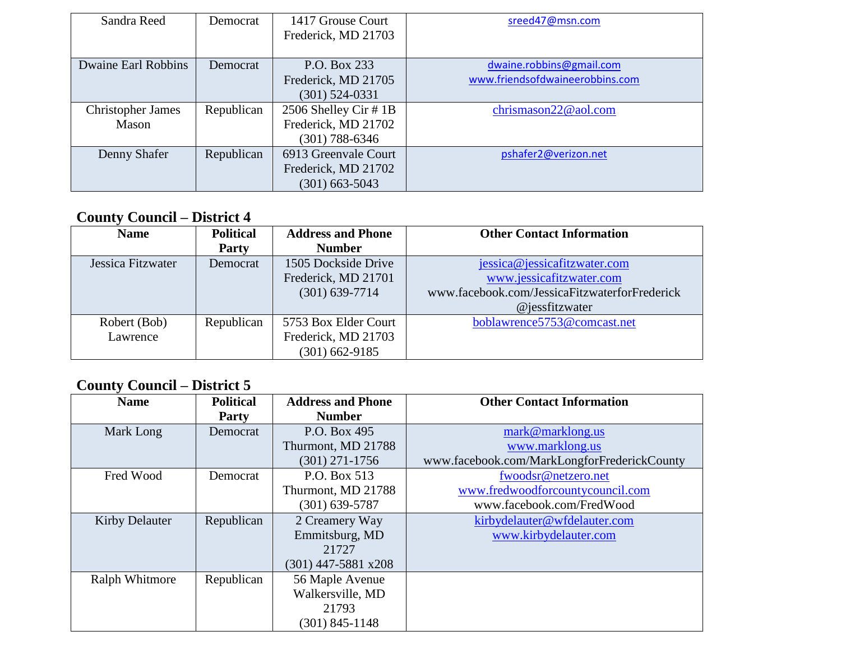| Sandra Reed                | Democrat   | 1417 Grouse Court<br>Frederick, MD 21703 | sreed47@msn.com                 |
|----------------------------|------------|------------------------------------------|---------------------------------|
|                            |            |                                          |                                 |
| <b>Dwaine Earl Robbins</b> | Democrat   | P.O. Box 233                             | dwaine.robbins@gmail.com        |
|                            |            | Frederick, MD 21705                      | www.friendsofdwaineerobbins.com |
|                            |            | $(301)$ 524-0331                         |                                 |
| <b>Christopher James</b>   | Republican | 2506 Shelley Cir #1B                     | chrismason22@aol.com            |
| Mason                      |            | Frederick, MD 21702                      |                                 |
|                            |            | (301) 788-6346                           |                                 |
| Denny Shafer               | Republican | 6913 Greenvale Court                     | pshafer2@verizon.net            |
|                            |            | Frederick, MD 21702                      |                                 |
|                            |            | $(301)$ 663-5043                         |                                 |

### **County Council – District 4**

| <b>Name</b>       | <b>Political</b><br><b>Party</b> | <b>Address and Phone</b><br><b>Number</b> | <b>Other Contact Information</b>              |
|-------------------|----------------------------------|-------------------------------------------|-----------------------------------------------|
| Jessica Fitzwater | Democrat                         | 1505 Dockside Drive                       | jessica@jessicafitzwater.com                  |
|                   |                                  | Frederick, MD 21701                       | www.jessicafitzwater.com                      |
|                   |                                  | $(301)$ 639-7714                          | www.facebook.com/JessicaFitzwaterforFrederick |
|                   |                                  |                                           | $@$ jessfitzwater                             |
| Robert (Bob)      | Republican                       | 5753 Box Elder Court                      | boblawrence5753@comcast.net                   |
| Lawrence          |                                  | Frederick, MD 21703                       |                                               |
|                   |                                  | $(301)$ 662-9185                          |                                               |

### **County Council – District 5**

| <b>Name</b>           | <b>Political</b> | <b>Address and Phone</b> | <b>Other Contact Information</b>            |
|-----------------------|------------------|--------------------------|---------------------------------------------|
|                       | Party            | <b>Number</b>            |                                             |
| Mark Long             | Democrat         | P.O. Box 495             | mark@marklong.us                            |
|                       |                  | Thurmont, MD 21788       | www.marklong.us                             |
|                       |                  | $(301)$ 271-1756         | www.facebook.com/MarkLongforFrederickCounty |
| Fred Wood             | Democrat         | P.O. Box 513             | fwoodsr@netzero.net                         |
|                       |                  | Thurmont, MD 21788       | www.fredwoodforcountycouncil.com            |
|                       |                  | $(301) 639 - 5787$       | www.facebook.com/FredWood                   |
| <b>Kirby Delauter</b> | Republican       | 2 Creamery Way           | kirbydelauter@wfdelauter.com                |
|                       |                  | Emmitsburg, MD           | www.kirbydelauter.com                       |
|                       |                  | 21727                    |                                             |
|                       |                  | $(301)$ 447-5881 x208    |                                             |
| <b>Ralph Whitmore</b> | Republican       | 56 Maple Avenue          |                                             |
|                       |                  | Walkersville, MD         |                                             |
|                       |                  | 21793                    |                                             |
|                       |                  | $(301)$ 845-1148         |                                             |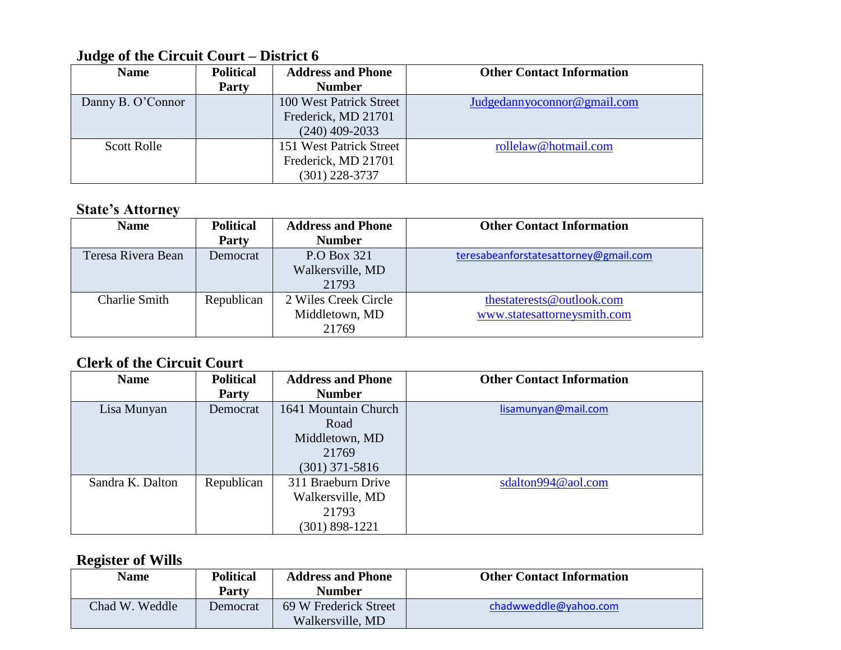### **Judge of the Circuit Court – District 6**

| <b>Name</b>        | <b>Political</b> | <b>Address and Phone</b> | <b>Other Contact Information</b> |
|--------------------|------------------|--------------------------|----------------------------------|
|                    | Party            | <b>Number</b>            |                                  |
| Danny B. O'Connor  |                  | 100 West Patrick Street  | Judgedannyoconnor@gmail.com      |
|                    |                  | Frederick, MD 21701      |                                  |
|                    |                  | $(240)$ 409-2033         |                                  |
| <b>Scott Rolle</b> |                  | 151 West Patrick Street  | rollelaw@hotmail.com             |
|                    |                  | Frederick, MD 21701      |                                  |
|                    |                  | (301) 228-3737           |                                  |

#### **State's Attorney**

| <b>Name</b>          | <b>Political</b><br>Party | <b>Address and Phone</b><br><b>Number</b>       | <b>Other Contact Information</b>                         |
|----------------------|---------------------------|-------------------------------------------------|----------------------------------------------------------|
| Teresa Rivera Bean   | Democrat                  | P.O Box 321<br>Walkersville, MD<br>21793        | teresabeanforstatesattorney@gmail.com                    |
| <b>Charlie Smith</b> | Republican                | 2 Wiles Creek Circle<br>Middletown, MD<br>21769 | thestaterests@outlook.com<br>www.statesattorneysmith.com |

### **Clerk of the Circuit Court**

| <b>Name</b>      | <b>Political</b> | <b>Address and Phone</b> | <b>Other Contact Information</b> |
|------------------|------------------|--------------------------|----------------------------------|
|                  | <b>Party</b>     | <b>Number</b>            |                                  |
| Lisa Munyan      | Democrat         | 1641 Mountain Church     | lisamunyan@mail.com              |
|                  |                  | Road                     |                                  |
|                  |                  | Middletown, MD           |                                  |
|                  |                  | 21769                    |                                  |
|                  |                  | $(301)$ 371-5816         |                                  |
| Sandra K. Dalton | Republican       | 311 Braeburn Drive       | sdalton994@aol.com               |
|                  |                  | Walkersville, MD         |                                  |
|                  |                  | 21793                    |                                  |
|                  |                  | 301) 898-1221            |                                  |

### **Register of Wills**

| <b>Name</b>    | <b>Political</b><br><b>Party</b> | <b>Address and Phone</b><br>Number        | <b>Other Contact Information</b> |
|----------------|----------------------------------|-------------------------------------------|----------------------------------|
| Chad W. Weddle | Democrat                         | 69 W Frederick Street<br>Walkersville, MD | chadwweddle@yahoo.com            |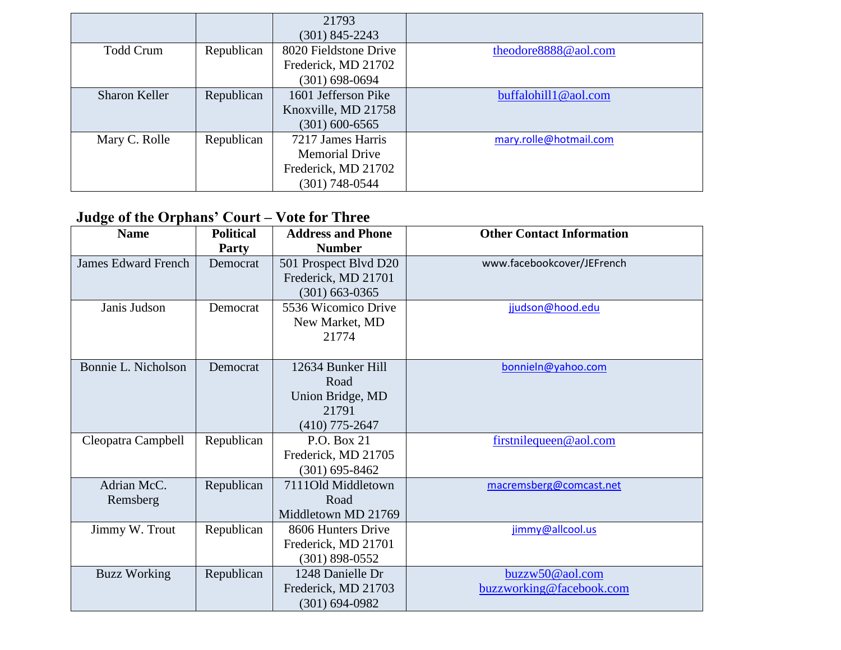|                      |            | 21793                 |                        |
|----------------------|------------|-----------------------|------------------------|
|                      |            | $(301)$ 845-2243      |                        |
| <b>Todd Crum</b>     | Republican | 8020 Fieldstone Drive | theodore8888@aol.com   |
|                      |            | Frederick, MD 21702   |                        |
|                      |            | $(301)$ 698-0694      |                        |
| <b>Sharon Keller</b> | Republican | 1601 Jefferson Pike   | buffalohill1@aol.com   |
|                      |            | Knoxville, MD 21758   |                        |
|                      |            | $(301)$ 600-6565      |                        |
| Mary C. Rolle        | Republican | 7217 James Harris     | mary.rolle@hotmail.com |
|                      |            | <b>Memorial Drive</b> |                        |
|                      |            | Frederick, MD 21702   |                        |
|                      |            | (301) 748-0544        |                        |

## **Judge of the Orphans' Court – Vote for Three**

| <b>Name</b>                | <b>Political</b> | <b>Address and Phone</b> | <b>Other Contact Information</b> |
|----------------------------|------------------|--------------------------|----------------------------------|
|                            | <b>Party</b>     | <b>Number</b>            |                                  |
| <b>James Edward French</b> | Democrat         | 501 Prospect Blvd D20    | www.facebookcover/JEFrench       |
|                            |                  | Frederick, MD 21701      |                                  |
|                            |                  | $(301)$ 663-0365         |                                  |
| Janis Judson               | Democrat         | 5536 Wicomico Drive      | jjudson@hood.edu                 |
|                            |                  | New Market, MD           |                                  |
|                            |                  | 21774                    |                                  |
|                            |                  |                          |                                  |
| Bonnie L. Nicholson        | Democrat         | 12634 Bunker Hill        | bonnieln@yahoo.com               |
|                            |                  | Road                     |                                  |
|                            |                  | Union Bridge, MD         |                                  |
|                            |                  | 21791                    |                                  |
|                            |                  | $(410)$ 775-2647         |                                  |
| Cleopatra Campbell         | Republican       | P.O. Box 21              | firstnilequeen@aol.com           |
|                            |                  | Frederick, MD 21705      |                                  |
|                            |                  | $(301) 695 - 8462$       |                                  |
| Adrian McC.                | Republican       | 7111Old Middletown       | macremsberg@comcast.net          |
| Remsberg                   |                  | Road                     |                                  |
|                            |                  | Middletown MD 21769      |                                  |
| Jimmy W. Trout             | Republican       | 8606 Hunters Drive       | jimmy@allcool.us                 |
|                            |                  | Frederick, MD 21701      |                                  |
|                            |                  | $(301)$ 898-0552         |                                  |
| <b>Buzz Working</b>        | Republican       | 1248 Danielle Dr         | buzzw50@aol.com                  |
|                            |                  | Frederick, MD 21703      | buzzworking@facebook.com         |
|                            |                  | $(301) 694 - 0982$       |                                  |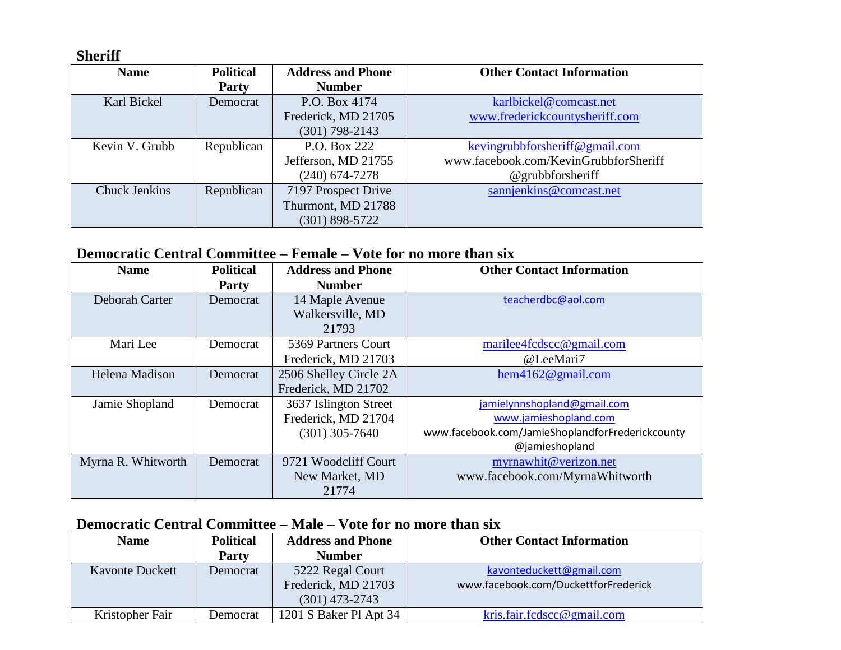**Sheriff**

| <b>Name</b>          | <b>Political</b> | <b>Address and Phone</b> | <b>Other Contact Information</b>      |
|----------------------|------------------|--------------------------|---------------------------------------|
|                      | <b>Party</b>     | <b>Number</b>            |                                       |
| Karl Bickel          | Democrat         | P.O. Box 4174            | karlbickel@comcast.net                |
|                      |                  | Frederick, MD 21705      | www.frederickcountysheriff.com        |
|                      |                  | $(301)$ 798-2143         |                                       |
| Kevin V. Grubb       | Republican       | P.O. Box 222             | kevingrubbforsheriff@gmail.com        |
|                      |                  | Jefferson, MD 21755      | www.facebook.com/KevinGrubbforSheriff |
|                      |                  | $(240)$ 674-7278         | $@$ grubbforsheriff                   |
| <b>Chuck Jenkins</b> | Republican       | 7197 Prospect Drive      | sannjenkins@comcast.net               |
|                      |                  | Thurmont, MD 21788       |                                       |
|                      |                  | $(301)$ 898-5722         |                                       |

#### **Democratic Central Committee – Female – Vote for no more than six**

| <b>Name</b>        | <b>Political</b> | <b>Address and Phone</b> | <b>Other Contact Information</b>                 |
|--------------------|------------------|--------------------------|--------------------------------------------------|
|                    | Party            | <b>Number</b>            |                                                  |
| Deborah Carter     | Democrat         | 14 Maple Avenue          | teacherdbc@aol.com                               |
|                    |                  | Walkersville, MD         |                                                  |
|                    |                  | 21793                    |                                                  |
| Mari Lee           | Democrat         | 5369 Partners Court      | marilee4fcdscc@gmail.com                         |
|                    |                  | Frederick, MD 21703      | @LeeMari7                                        |
| Helena Madison     | Democrat         | 2506 Shelley Circle 2A   | hem4162@gmail.com                                |
|                    |                  | Frederick, MD 21702      |                                                  |
| Jamie Shopland     | Democrat         | 3637 Islington Street    | jamielynnshopland@gmail.com                      |
|                    |                  | Frederick, MD 21704      | www.jamieshopland.com                            |
|                    |                  | $(301)$ 305-7640         | www.facebook.com/JamieShoplandforFrederickcounty |
|                    |                  |                          | @jamieshopland                                   |
| Myrna R. Whitworth | Democrat         | 9721 Woodcliff Court     | myrnawhit@verizon.net                            |
|                    |                  | New Market, MD           | www.facebook.com/MyrnaWhitworth                  |
|                    |                  | 21774                    |                                                  |

### **Democratic Central Committee – Male – Vote for no more than six**

| <b>Name</b>            | <b>Political</b> | <b>Address and Phone</b> | <b>Other Contact Information</b>     |
|------------------------|------------------|--------------------------|--------------------------------------|
|                        | <b>Party</b>     | <b>Number</b>            |                                      |
| <b>Kavonte Duckett</b> | Democrat         | 5222 Regal Court         | kavonteduckett@gmail.com             |
|                        |                  | Frederick, MD 21703      | www.facebook.com/DuckettforFrederick |
|                        |                  | $(301)$ 473-2743         |                                      |
| Kristopher Fair        | Democrat         | 1201 S Baker Pl Apt 34   | kris.fair.fcdscc@gmail.com           |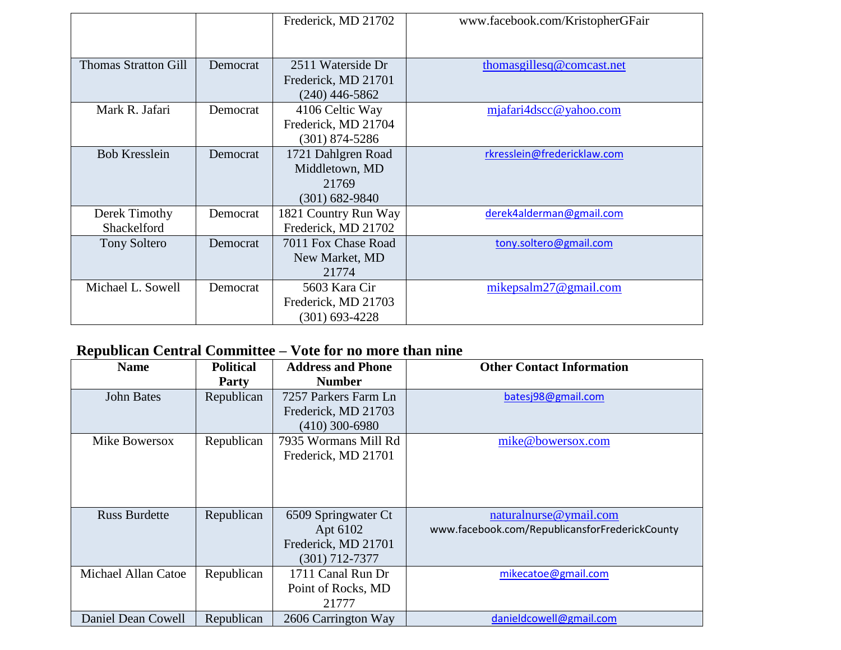|                              |          | Frederick, MD 21702                                                 | www.facebook.com/KristopherGFair    |
|------------------------------|----------|---------------------------------------------------------------------|-------------------------------------|
| <b>Thomas Stratton Gill</b>  | Democrat | 2511 Waterside Dr<br>Frederick, MD 21701<br>$(240)$ 446-5862        | thomas gilles $\alpha$ comeast. net |
| Mark R. Jafari               | Democrat | 4106 Celtic Way<br>Frederick, MD 21704<br>$(301)$ 874-5286          | mjafari4dscc@yahoo.com              |
| <b>Bob Kresslein</b>         | Democrat | 1721 Dahlgren Road<br>Middletown, MD<br>21769<br>$(301) 682 - 9840$ | rkresslein@fredericklaw.com         |
| Derek Timothy<br>Shackelford | Democrat | 1821 Country Run Way<br>Frederick, MD 21702                         | derek4alderman@gmail.com            |
| <b>Tony Soltero</b>          | Democrat | 7011 Fox Chase Road<br>New Market, MD<br>21774                      | tony.soltero@gmail.com              |
| Michael L. Sowell            | Democrat | 5603 Kara Cir<br>Frederick, MD 21703<br>$(301)$ 693-4228            | mikepsalm $27@$ gmail.com           |

# **Republican Central Committee – Vote for no more than nine**

| <b>Name</b>          | <b>Political</b> | <b>Address and Phone</b> | <b>Other Contact Information</b>               |
|----------------------|------------------|--------------------------|------------------------------------------------|
|                      | <b>Party</b>     | <b>Number</b>            |                                                |
| <b>John Bates</b>    | Republican       | 7257 Parkers Farm Ln     | batesj98@gmail.com                             |
|                      |                  | Frederick, MD 21703      |                                                |
|                      |                  | $(410)$ 300-6980         |                                                |
| Mike Bowersox        | Republican       | 7935 Wormans Mill Rd     | mike@bowersox.com                              |
|                      |                  | Frederick, MD 21701      |                                                |
|                      |                  |                          |                                                |
|                      |                  |                          |                                                |
|                      |                  |                          |                                                |
| <b>Russ Burdette</b> | Republican       | 6509 Springwater Ct      | naturalnurse@ymail.com                         |
|                      |                  | Apt 6102                 | www.facebook.com/RepublicansforFrederickCounty |
|                      |                  | Frederick, MD 21701      |                                                |
|                      |                  | $(301)$ 712-7377         |                                                |
| Michael Allan Catoe  | Republican       | 1711 Canal Run Dr        | mikecatoe@gmail.com                            |
|                      |                  | Point of Rocks, MD       |                                                |
|                      |                  | 21777                    |                                                |
| Daniel Dean Cowell   | Republican       | 2606 Carrington Way      | danieldcowell@gmail.com                        |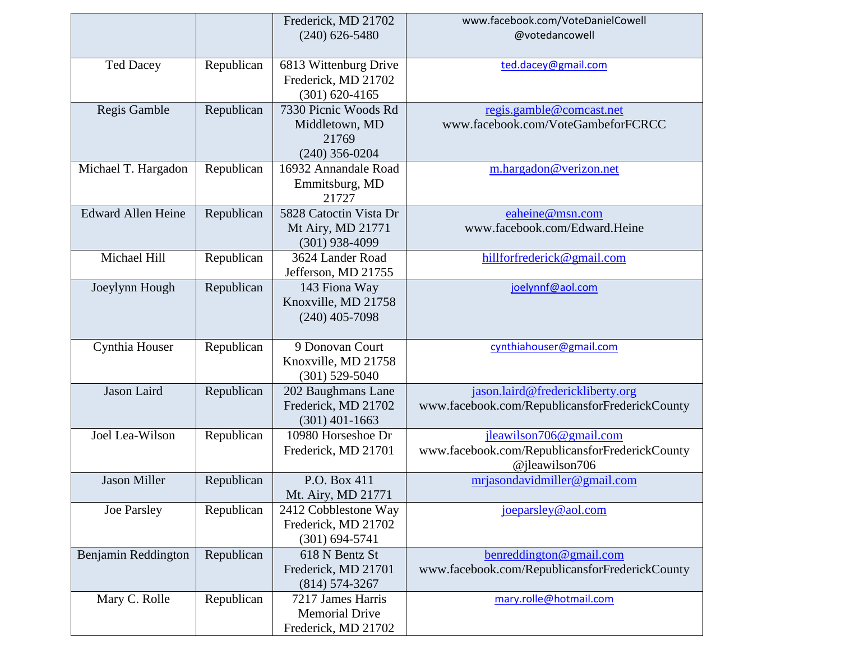|                           |            | Frederick, MD 21702    | www.facebook.com/VoteDanielCowell              |
|---------------------------|------------|------------------------|------------------------------------------------|
|                           |            | $(240)$ 626-5480       | @votedancowell                                 |
|                           |            |                        |                                                |
| <b>Ted Dacey</b>          | Republican | 6813 Wittenburg Drive  | ted.dacey@gmail.com                            |
|                           |            | Frederick, MD 21702    |                                                |
|                           |            | $(301) 620 - 4165$     |                                                |
| Regis Gamble              | Republican | 7330 Picnic Woods Rd   | regis.gamble@comcast.net                       |
|                           |            | Middletown, MD         | www.facebook.com/VoteGambeforFCRCC             |
|                           |            | 21769                  |                                                |
|                           |            | $(240)$ 356-0204       |                                                |
| Michael T. Hargadon       | Republican | 16932 Annandale Road   | m.hargadon@verizon.net                         |
|                           |            | Emmitsburg, MD         |                                                |
|                           |            | 21727                  |                                                |
| <b>Edward Allen Heine</b> | Republican | 5828 Catoctin Vista Dr | eaheine@msn.com                                |
|                           |            | Mt Airy, MD 21771      | www.facebook.com/Edward.Heine                  |
|                           |            | $(301)$ 938-4099       |                                                |
| Michael Hill              | Republican | 3624 Lander Road       | hillforfrederick@gmail.com                     |
|                           |            | Jefferson, MD 21755    |                                                |
| Joeylynn Hough            | Republican | 143 Fiona Way          | joelynnf@aol.com                               |
|                           |            | Knoxville, MD 21758    |                                                |
|                           |            | $(240)$ 405-7098       |                                                |
|                           |            |                        |                                                |
| Cynthia Houser            | Republican | 9 Donovan Court        | cynthiahouser@gmail.com                        |
|                           |            | Knoxville, MD 21758    |                                                |
|                           |            | $(301)$ 529-5040       |                                                |
| Jason Laird               | Republican | 202 Baughmans Lane     | jason.laird@frederickliberty.org               |
|                           |            | Frederick, MD 21702    | www.facebook.com/RepublicansforFrederickCounty |
|                           |            | $(301)$ 401-1663       |                                                |
| Joel Lea-Wilson           | Republican | 10980 Horseshoe Dr     | jleawilson706@gmail.com                        |
|                           |            | Frederick, MD 21701    | www.facebook.com/RepublicansforFrederickCounty |
|                           |            |                        | @jleawilson706                                 |
| <b>Jason Miller</b>       | Republican | P.O. Box 411           | mrjasondavidmiller@gmail.com                   |
|                           |            | Mt. Airy, MD 21771     |                                                |
| Joe Parsley               | Republican | 2412 Cobblestone Way   | joeparsley@aol.com                             |
|                           |            | Frederick, MD 21702    |                                                |
|                           |            | $(301) 694 - 5741$     |                                                |
| Benjamin Reddington       | Republican | 618 N Bentz St         | benreddington@gmail.com                        |
|                           |            | Frederick, MD 21701    | www.facebook.com/RepublicansforFrederickCounty |
|                           |            | $(814) 574 - 3267$     |                                                |
| Mary C. Rolle             | Republican | 7217 James Harris      | mary.rolle@hotmail.com                         |
|                           |            | <b>Memorial Drive</b>  |                                                |
|                           |            | Frederick, MD 21702    |                                                |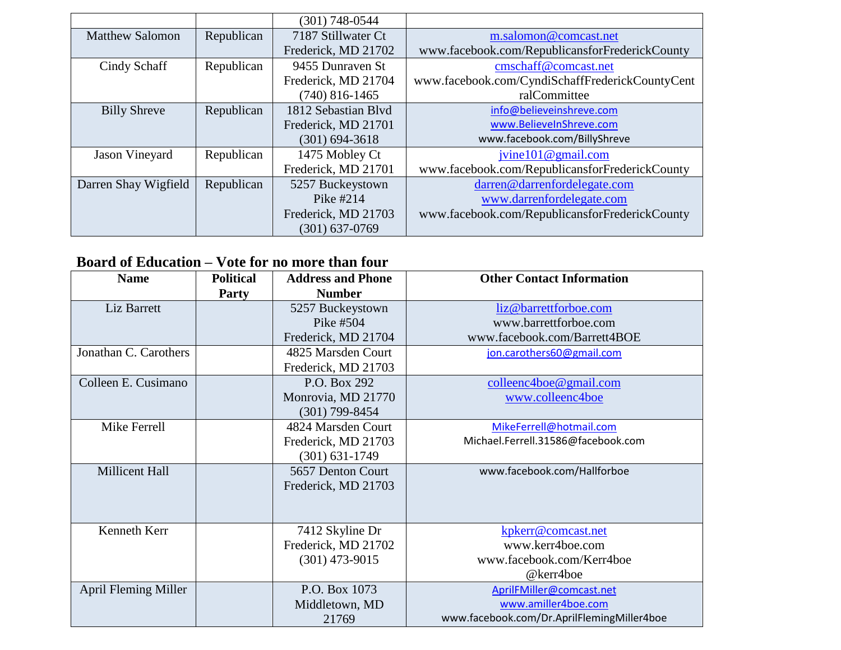|                        |            | $(301)$ 748-0544    |                                                 |
|------------------------|------------|---------------------|-------------------------------------------------|
| <b>Matthew Salomon</b> | Republican | 7187 Stillwater Ct  | m.salomon@comcast.net                           |
|                        |            | Frederick, MD 21702 | www.facebook.com/RepublicansforFrederickCounty  |
| Cindy Schaff           | Republican | 9455 Dunraven St    | cmschaff@comcast.net                            |
|                        |            | Frederick, MD 21704 | www.facebook.com/CyndiSchaffFrederickCountyCent |
|                        |            | $(740)$ 816-1465    | ralCommittee                                    |
| <b>Billy Shreve</b>    | Republican | 1812 Sebastian Blvd | info@believeinshreve.com                        |
|                        |            | Frederick, MD 21701 | www.BelieveInShreve.com                         |
|                        |            | $(301) 694 - 3618$  | www.facebook.com/BillyShreve                    |
| <b>Jason Vineyard</b>  | Republican | 1475 Mobley Ct      | jvine $101@$ gmail.com                          |
|                        |            | Frederick, MD 21701 | www.facebook.com/RepublicansforFrederickCounty  |
| Darren Shay Wigfield   | Republican | 5257 Buckeystown    | darren@darrenfordelegate.com                    |
|                        |            | Pike #214           | www.darrenfordelegate.com                       |
|                        |            | Frederick, MD 21703 | www.facebook.com/RepublicansforFrederickCounty  |
|                        |            | (301) 637-0769      |                                                 |

### **Board of Education – Vote for no more than four**

| <b>Name</b>                 | <b>Political</b> | <b>Address and Phone</b> | <b>Other Contact Information</b>           |
|-----------------------------|------------------|--------------------------|--------------------------------------------|
|                             |                  |                          |                                            |
|                             | <b>Party</b>     | <b>Number</b>            |                                            |
| Liz Barrett                 |                  | 5257 Buckeystown         | liz@barrettforboe.com                      |
|                             |                  | Pike #504                | www.barrettforboe.com                      |
|                             |                  | Frederick, MD 21704      | www.facebook.com/Barrett4BOE               |
| Jonathan C. Carothers       |                  | 4825 Marsden Court       | jon.carothers60@gmail.com                  |
|                             |                  | Frederick, MD 21703      |                                            |
| Colleen E. Cusimano         |                  | P.O. Box 292             | colleenc4boe@gmail.com                     |
|                             |                  | Monrovia, MD 21770       | www.colleenc4boe                           |
|                             |                  | $(301)$ 799-8454         |                                            |
| Mike Ferrell                |                  | 4824 Marsden Court       | MikeFerrell@hotmail.com                    |
|                             |                  | Frederick, MD 21703      | Michael.Ferrell.31586@facebook.com         |
|                             |                  | $(301) 631 - 1749$       |                                            |
| Millicent Hall              |                  | 5657 Denton Court        | www.facebook.com/Hallforboe                |
|                             |                  | Frederick, MD 21703      |                                            |
|                             |                  |                          |                                            |
|                             |                  |                          |                                            |
| Kenneth Kerr                |                  | 7412 Skyline Dr          | kpkerr@comcast.net                         |
|                             |                  | Frederick, MD 21702      | www.kerr4boe.com                           |
|                             |                  | $(301)$ 473-9015         | www.facebook.com/Kerr4boe                  |
|                             |                  |                          | @kerr4boe                                  |
| <b>April Fleming Miller</b> |                  | P.O. Box 1073            | AprilFMiller@comcast.net                   |
|                             |                  | Middletown, MD           | www.amiller4boe.com                        |
|                             |                  | 21769                    | www.facebook.com/Dr.AprilFlemingMiller4boe |